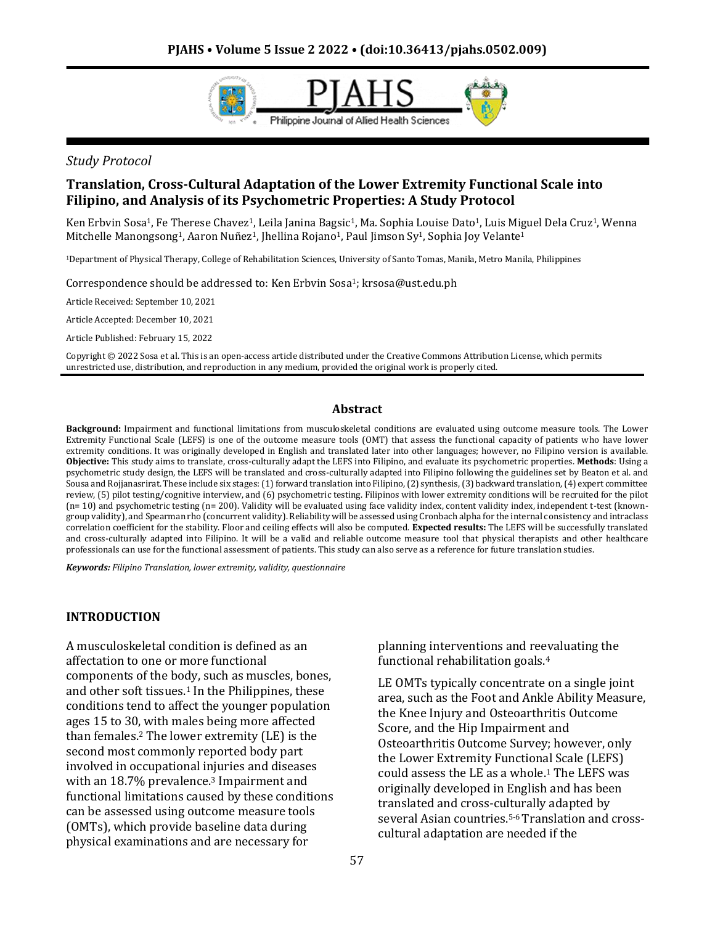

#### *Study Protocol*

## **Translation, Cross-Cultural Adaptation of the Lower Extremity Functional Scale into Filipino, and Analysis of its Psychometric Properties: A Study Protocol**

Ken Erbvin Sosa<sup>1</sup>, Fe Therese Chavez<sup>1</sup>, Leila Janina Bagsic<sup>1</sup>, Ma. Sophia Louise Dato<sup>1</sup>, Luis Miguel Dela Cruz<sup>1</sup>, Wenna Mitchelle Manongsong<sup>1</sup>, Aaron Nuñez<sup>1</sup>, Jhellina Rojano<sup>1</sup>, Paul Jimson Sy<sup>1</sup>, Sophia Joy Velante<sup>1</sup>

<sup>1</sup>Department of Physical Therapy, College of Rehabilitation Sciences, University of Santo Tomas, Manila, Metro Manila, Philippines

Correspondence should be addressed to: Ken Erbvin Sosa<sup>1</sup>; krsosa@ust.edu.ph

Article Received: September 10, 2021

Article Accepted: December 10, 2021

Article Published: February 15, 2022

Copyright © 2022 Sosa et al. This is an open-access article distributed under the Creative Commons Attribution License, which permits unrestricted use, distribution, and reproduction in any medium, provided the original work is properly cited.

#### **Abstract**

**Background:** Impairment and functional limitations from musculoskeletal conditions are evaluated using outcome measure tools. The Lower Extremity Functional Scale (LEFS) is one of the outcome measure tools (OMT) that assess the functional capacity of patients who have lower extremity conditions. It was originally developed in English and translated later into other languages; however, no Filipino version is available. **Objective:** This study aims to translate, cross-culturally adapt the LEFS into Filipino, and evaluate its psychometric properties. **Methods**: Using a psychometric study design, the LEFS will be translated and cross-culturally adapted into Filipino following the guidelines set by Beaton et al. and Sousa and Rojjanasrirat. These include six stages: (1) forward translation into Filipino, (2) synthesis, (3) backward translation, (4) expert committee review, (5) pilot testing/cognitive interview, and (6) psychometric testing. Filipinos with lower extremity conditions will be recruited for the pilot (n= 10) and psychometric testing (n= 200). Validity will be evaluated using face validity index, content validity index, independent t-test (knowngroup validity), and Spearman rho (concurrent validity). Reliability will be assessed using Cronbach alpha for the internal consistency and intraclass correlation coefficient for the stability. Floor and ceiling effects will also be computed. **Expected results:** The LEFS will be successfully translated and cross-culturally adapted into Filipino. It will be a valid and reliable outcome measure tool that physical therapists and other healthcare professionals can use for the functional assessment of patients. This study can also serve as a reference for future translation studies.

*Keywords: Filipino Translation, lower extremity, validity, questionnaire*

## **INTRODUCTION**

A musculoskeletal condition is defined as an affectation to one or more functional components of the body, such as muscles, bones, and other soft tissues.<sup>1</sup> In the Philippines, these conditions tend to affect the younger population ages 15 to 30, with males being more affected than females.<sup>2</sup> The lower extremity (LE) is the second most commonly reported body part involved in occupational injuries and diseases with an 18.7% prevalence.<sup>3</sup> Impairment and functional limitations caused by these conditions can be assessed using outcome measure tools (OMTs), which provide baseline data during physical examinations and are necessary for

57

planning interventions and reevaluating the functional rehabilitation goals.<sup>4</sup>

LE OMTs typically concentrate on a single joint area, such as the Foot and Ankle Ability Measure, the Knee Injury and Osteoarthritis Outcome Score, and the Hip Impairment and Osteoarthritis Outcome Survey; however, only the Lower Extremity Functional Scale (LEFS) could assess the LE as a whole.<sup>1</sup> The LEFS was originally developed in English and has been translated and cross-culturally adapted by several Asian countries.5-6 Translation and crosscultural adaptation are needed if the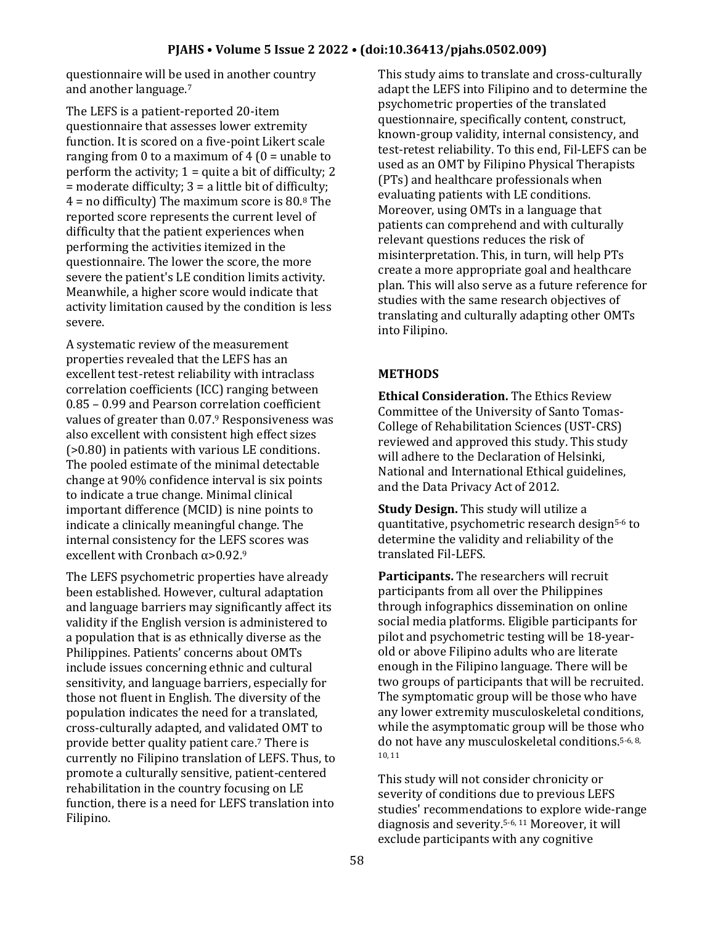questionnaire will be used in another country and another language.<sup>7</sup>

The LEFS is a patient-reported 20-item questionnaire that assesses lower extremity function. It is scored on a five-point Likert scale ranging from 0 to a maximum of 4 (0 = unable to perform the activity;  $1 =$  quite a bit of difficulty; 2 = moderate difficulty; 3 = a little bit of difficulty;  $4$  = no difficulty) The maximum score is 80. $8$  The reported score represents the current level of difficulty that the patient experiences when performing the activities itemized in the questionnaire. The lower the score, the more severe the patient's LE condition limits activity. Meanwhile, a higher score would indicate that activity limitation caused by the condition is less severe.

A systematic review of the measurement properties revealed that the LEFS has an excellent test-retest reliability with intraclass correlation coefficients (ICC) ranging between 0.85 – 0.99 and Pearson correlation coefficient values of greater than 0.07.<sup>9</sup> Responsiveness was also excellent with consistent high effect sizes (>0.80) in patients with various LE conditions. The pooled estimate of the minimal detectable change at 90% confidence interval is six points to indicate a true change. Minimal clinical important difference (MCID) is nine points to indicate a clinically meaningful change. The internal consistency for the LEFS scores was excellent with Cronbach α>0.92.<sup>9</sup>

The LEFS psychometric properties have already been established. However, cultural adaptation and language barriers may significantly affect its validity if the English version is administered to a population that is as ethnically diverse as the Philippines. Patients' concerns about OMTs include issues concerning ethnic and cultural sensitivity, and language barriers, especially for those not fluent in English. The diversity of the population indicates the need for a translated, cross-culturally adapted, and validated OMT to provide better quality patient care.<sup>7</sup> There is currently no Filipino translation of LEFS. Thus, to promote a culturally sensitive, patient-centered rehabilitation in the country focusing on LE function, there is a need for LEFS translation into Filipino.

This study aims to translate and cross-culturally adapt the LEFS into Filipino and to determine the psychometric properties of the translated questionnaire, specifically content, construct, known-group validity, internal consistency, and test-retest reliability. To this end, Fil-LEFS can be used as an OMT by Filipino Physical Therapists (PTs) and healthcare professionals when evaluating patients with LE conditions. Moreover, using OMTs in a language that patients can comprehend and with culturally relevant questions reduces the risk of misinterpretation. This, in turn, will help PTs create a more appropriate goal and healthcare plan. This will also serve as a future reference for studies with the same research objectives of translating and culturally adapting other OMTs into Filipino.

# **METHODS**

**Ethical Consideration.** The Ethics Review Committee of the University of Santo Tomas-College of Rehabilitation Sciences (UST-CRS) reviewed and approved this study. This study will adhere to the Declaration of Helsinki, National and International Ethical guidelines, and the Data Privacy Act of 2012.

**Study Design.** This study will utilize a quantitative, psychometric research design5-6 to determine the validity and reliability of the translated Fil-LEFS.

**Participants.** The researchers will recruit participants from all over the Philippines through infographics dissemination on online social media platforms. Eligible participants for pilot and psychometric testing will be 18-yearold or above Filipino adults who are literate enough in the Filipino language. There will be two groups of participants that will be recruited. The symptomatic group will be those who have any lower extremity musculoskeletal conditions, while the asymptomatic group will be those who do not have any musculoskeletal conditions.<sup>5-6, 8,</sup> 10, 11

This study will not consider chronicity or severity of conditions due to previous LEFS studies' recommendations to explore wide-range diagnosis and severity.5-6, 11 Moreover, it will exclude participants with any cognitive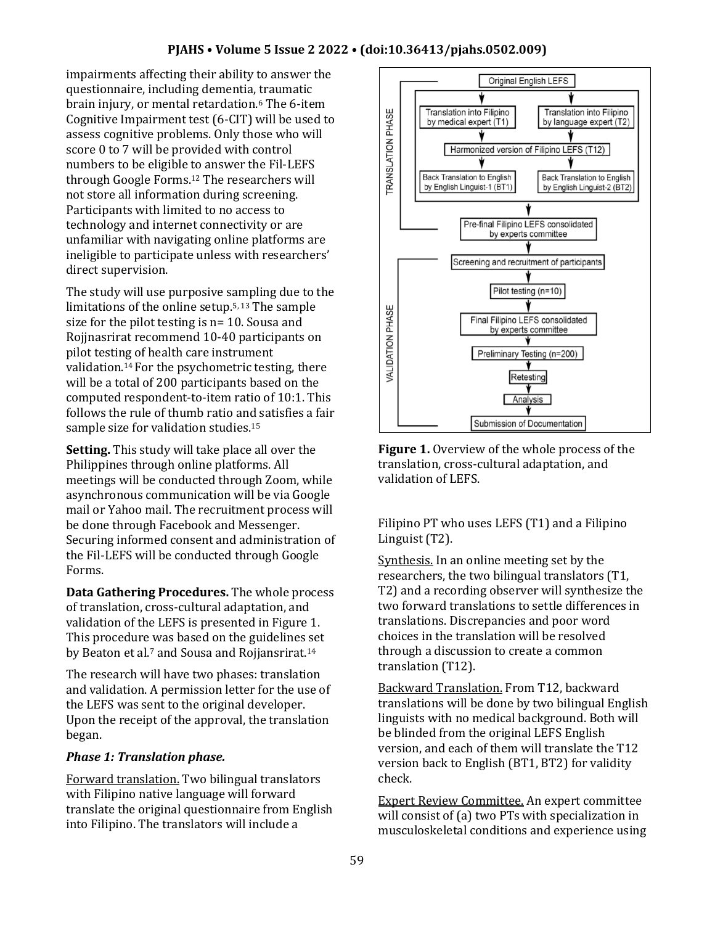impairments affecting their ability to answer the questionnaire, including dementia, traumatic brain injury, or mental retardation.<sup>6</sup> The 6-item Cognitive Impairment test (6-CIT) will be used to assess cognitive problems. Only those who will score 0 to 7 will be provided with control numbers to be eligible to answer the Fil-LEFS through Google Forms.<sup>12</sup> The researchers will not store all information during screening. Participants with limited to no access to technology and internet connectivity or are unfamiliar with navigating online platforms are ineligible to participate unless with researchers' direct supervision.

The study will use purposive sampling due to the limitations of the online setup.5, 13 The sample size for the pilot testing is n= 10. Sousa and Rojjnasrirat recommend 10-40 participants on pilot testing of health care instrument validation.14 For the psychometric testing, there will be a total of 200 participants based on the computed respondent-to-item ratio of 10:1. This follows the rule of thumb ratio and satisfies a fair sample size for validation studies.<sup>15</sup>

**Setting.** This study will take place all over the Philippines through online platforms. All meetings will be conducted through Zoom, while asynchronous communication will be via Google mail or Yahoo mail. The recruitment process will be done through Facebook and Messenger. Securing informed consent and administration of the Fil-LEFS will be conducted through Google Forms.

**Data Gathering Procedures.** The whole process of translation, cross-cultural adaptation, and validation of the LEFS is presented in Figure 1. This procedure was based on the guidelines set by Beaton et al.<sup>7</sup> and Sousa and Rojjansrirat.<sup>14</sup>

The research will have two phases: translation and validation. A permission letter for the use of the LEFS was sent to the original developer. Upon the receipt of the approval, the translation began.

# *Phase 1: Translation phase.*

Forward translation. Two bilingual translators with Filipino native language will forward translate the original questionnaire from English into Filipino. The translators will include a



**Figure 1.** Overview of the whole process of the translation, cross-cultural adaptation, and validation of LEFS.

Filipino PT who uses LEFS (T1) and a Filipino Linguist (T2).

Synthesis. In an online meeting set by the researchers, the two bilingual translators (T1, T2) and a recording observer will synthesize the two forward translations to settle differences in translations. Discrepancies and poor word choices in the translation will be resolved through a discussion to create a common translation (T12).

Backward Translation. From T12, backward translations will be done by two bilingual English linguists with no medical background. Both will be blinded from the original LEFS English version, and each of them will translate the T12 version back to English (BT1, BT2) for validity check.

Expert Review Committee. An expert committee will consist of (a) two PTs with specialization in musculoskeletal conditions and experience using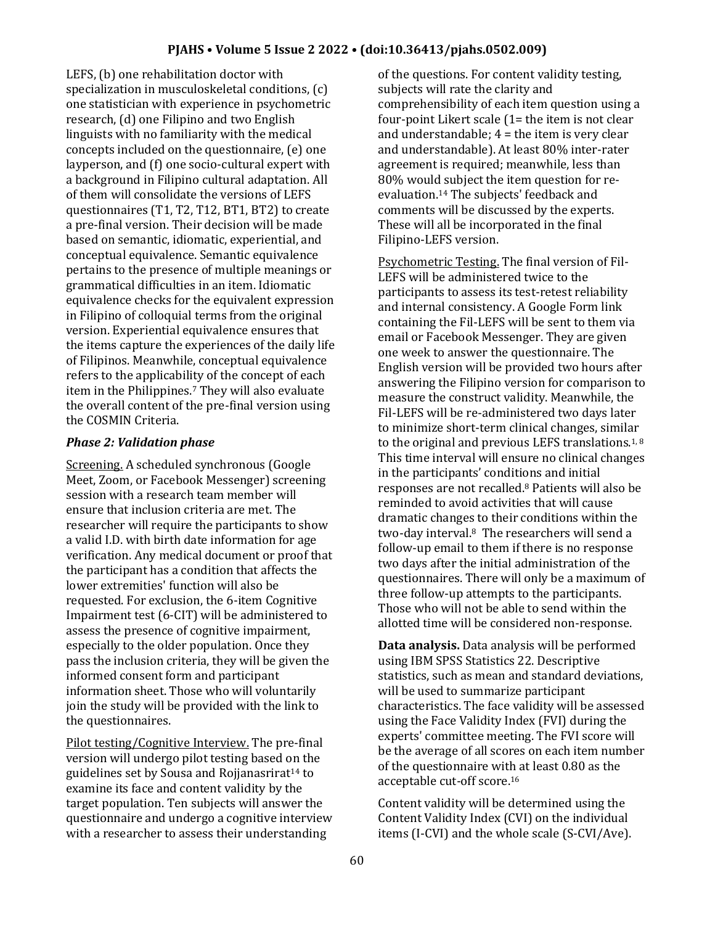LEFS, (b) one rehabilitation doctor with specialization in musculoskeletal conditions, (c) one statistician with experience in psychometric research, (d) one Filipino and two English linguists with no familiarity with the medical concepts included on the questionnaire, (e) one layperson, and (f) one socio-cultural expert with a background in Filipino cultural adaptation. All of them will consolidate the versions of LEFS questionnaires (T1, T2, T12, BT1, BT2) to create a pre-final version. Their decision will be made based on semantic, idiomatic, experiential, and conceptual equivalence. Semantic equivalence pertains to the presence of multiple meanings or grammatical difficulties in an item. Idiomatic equivalence checks for the equivalent expression in Filipino of colloquial terms from the original version. Experiential equivalence ensures that the items capture the experiences of the daily life of Filipinos. Meanwhile, conceptual equivalence refers to the applicability of the concept of each item in the Philippines.<sup>7</sup> They will also evaluate the overall content of the pre-final version using the COSMIN Criteria.

## *Phase 2: Validation phase*

Screening. A scheduled synchronous (Google Meet, Zoom, or Facebook Messenger) screening session with a research team member will ensure that inclusion criteria are met. The researcher will require the participants to show a valid I.D. with birth date information for age verification. Any medical document or proof that the participant has a condition that affects the lower extremities' function will also be requested. For exclusion, the 6-item Cognitive Impairment test (6-CIT) will be administered to assess the presence of cognitive impairment, especially to the older population. Once they pass the inclusion criteria, they will be given the informed consent form and participant information sheet. Those who will voluntarily join the study will be provided with the link to the questionnaires.

Pilot testing/Cognitive Interview. The pre-final version will undergo pilot testing based on the guidelines set by Sousa and Rojjanasrirat<sup>14</sup> to examine its face and content validity by the target population. Ten subjects will answer the questionnaire and undergo a cognitive interview with a researcher to assess their understanding

of the questions. For content validity testing, subjects will rate the clarity and comprehensibility of each item question using a four-point Likert scale (1= the item is not clear and understandable;  $4 =$  the item is very clear and understandable). At least 80% inter-rater agreement is required; meanwhile, less than 80% would subject the item question for reevaluation.<sup>14</sup> The subjects' feedback and comments will be discussed by the experts. These will all be incorporated in the final Filipino-LEFS version.

Psychometric Testing. The final version of Fil-LEFS will be administered twice to the participants to assess its test-retest reliability and internal consistency. A Google Form link containing the Fil-LEFS will be sent to them via email or Facebook Messenger. They are given one week to answer the questionnaire. The English version will be provided two hours after answering the Filipino version for comparison to measure the construct validity. Meanwhile, the Fil-LEFS will be re-administered two days later to minimize short-term clinical changes, similar to the original and previous LEFS translations.<sup>1, 8</sup> This time interval will ensure no clinical changes in the participants' conditions and initial responses are not recalled.<sup>8</sup> Patients will also be reminded to avoid activities that will cause dramatic changes to their conditions within the two-day interval.8 The researchers will send a follow-up email to them if there is no response two days after the initial administration of the questionnaires. There will only be a maximum of three follow-up attempts to the participants. Those who will not be able to send within the allotted time will be considered non-response.

**Data analysis.** Data analysis will be performed using IBM SPSS Statistics 22. Descriptive statistics, such as mean and standard deviations, will be used to summarize participant characteristics. The face validity will be assessed using the Face Validity Index (FVI) during the experts' committee meeting. The FVI score will be the average of all scores on each item number of the questionnaire with at least 0.80 as the acceptable cut-off score.<sup>16</sup>

Content validity will be determined using the Content Validity Index (CVI) on the individual items (I-CVI) and the whole scale (S-CVI/Ave).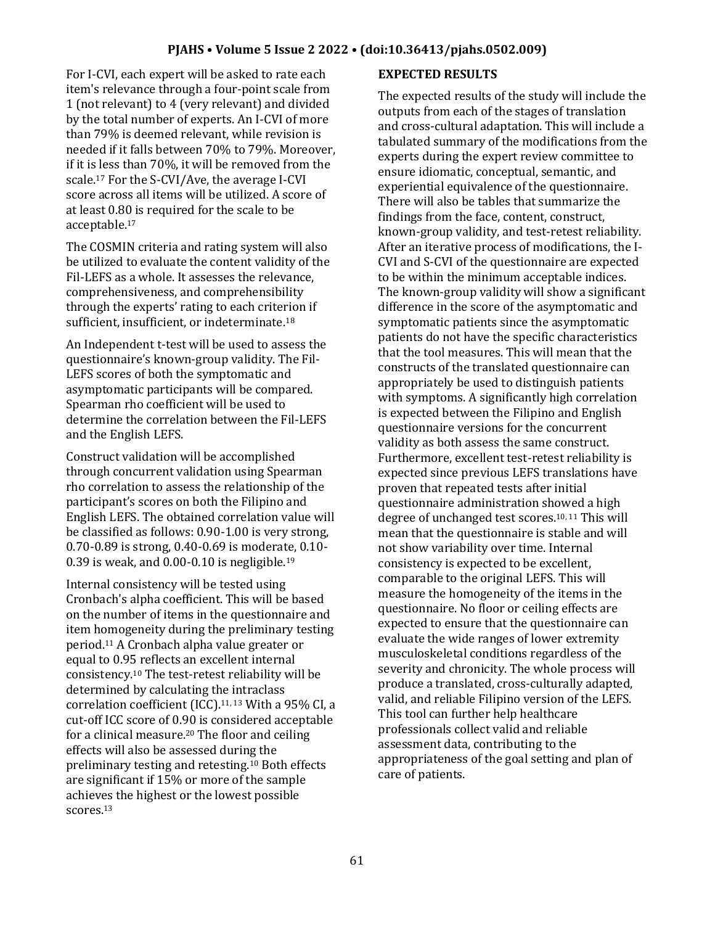For I-CVI, each expert will be asked to rate each item's relevance through a four-point scale from 1 (not relevant) to 4 (very relevant) and divided by the total number of experts. An I-CVI of more than 79% is deemed relevant, while revision is needed if it falls between 70% to 79%. Moreover, if it is less than 70%, it will be removed from the scale.<sup>17</sup> For the S-CVI/Ave, the average I-CVI score across all items will be utilized. A score of at least 0.80 is required for the scale to be acceptable.<sup>17</sup>

The COSMIN criteria and rating system will also be utilized to evaluate the content validity of the Fil-LEFS as a whole. It assesses the relevance, comprehensiveness, and comprehensibility through the experts' rating to each criterion if sufficient, insufficient, or indeterminate.<sup>18</sup>

An Independent t-test will be used to assess the questionnaire's known-group validity. The Fil-LEFS scores of both the symptomatic and asymptomatic participants will be compared. Spearman rho coefficient will be used to determine the correlation between the Fil-LEFS and the English LEFS.

Construct validation will be accomplished through concurrent validation using Spearman rho correlation to assess the relationship of the participant's scores on both the Filipino and English LEFS. The obtained correlation value will be classified as follows: 0.90-1.00 is very strong, 0.70-0.89 is strong, 0.40-0.69 is moderate, 0.10- 0.39 is weak, and 0.00-0.10 is negligible.<sup>19</sup>

Internal consistency will be tested using Cronbach's alpha coefficient. This will be based on the number of items in the questionnaire and item homogeneity during the preliminary testing period.<sup>11</sup> A Cronbach alpha value greater or equal to 0.95 reflects an excellent internal consistency.<sup>10</sup> The test-retest reliability will be determined by calculating the intraclass correlation coefficient (ICC).<sup>11, 13</sup> With a 95% CI, a cut-off ICC score of 0.90 is considered acceptable for a clinical measure.<sup>20</sup> The floor and ceiling effects will also be assessed during the preliminary testing and retesting.<sup>10</sup> Both effects are significant if 15% or more of the sample achieves the highest or the lowest possible scores.<sup>13</sup>

## **EXPECTED RESULTS**

The expected results of the study will include the outputs from each of the stages of translation and cross-cultural adaptation. This will include a tabulated summary of the modifications from the experts during the expert review committee to ensure idiomatic, conceptual, semantic, and experiential equivalence of the questionnaire. There will also be tables that summarize the findings from the face, content, construct, known-group validity, and test-retest reliability. After an iterative process of modifications, the I-CVI and S-CVI of the questionnaire are expected to be within the minimum acceptable indices. The known-group validity will show a significant difference in the score of the asymptomatic and symptomatic patients since the asymptomatic patients do not have the specific characteristics that the tool measures. This will mean that the constructs of the translated questionnaire can appropriately be used to distinguish patients with symptoms. A significantly high correlation is expected between the Filipino and English questionnaire versions for the concurrent validity as both assess the same construct. Furthermore, excellent test-retest reliability is expected since previous LEFS translations have proven that repeated tests after initial questionnaire administration showed a high degree of unchanged test scores.10, 11 This will mean that the questionnaire is stable and will not show variability over time. Internal consistency is expected to be excellent, comparable to the original LEFS. This will measure the homogeneity of the items in the questionnaire. No floor or ceiling effects are expected to ensure that the questionnaire can evaluate the wide ranges of lower extremity musculoskeletal conditions regardless of the severity and chronicity. The whole process will produce a translated, cross-culturally adapted, valid, and reliable Filipino version of the LEFS. This tool can further help healthcare professionals collect valid and reliable assessment data, contributing to the appropriateness of the goal setting and plan of care of patients.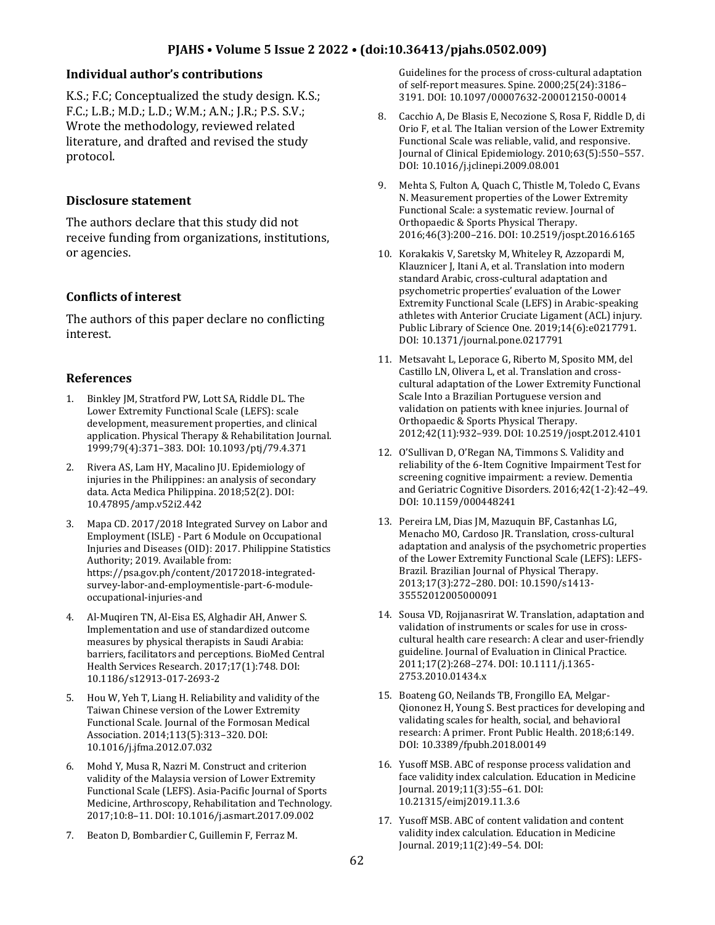## **Individual author's contributions**

K.S.; F.C; Conceptualized the study design. K.S.; F.C.; L.B.; M.D.; L.D.; W.M.; A.N.; J.R.; P.S. S.V.; Wrote the methodology, reviewed related literature, and drafted and revised the study protocol.

## **Disclosure statement**

The authors declare that this study did not receive funding from organizations, institutions, or agencies.

## **Conflicts of interest**

The authors of this paper declare no conflicting interest.

## **References**

- 1. Binkley JM, Stratford PW, Lott SA, Riddle DL. The Lower Extremity Functional Scale (LEFS): scale development, measurement properties, and clinical application. Physical Therapy & Rehabilitation Journal. 1999;79(4):371–383. DOI: 10.1093/ptj/79.4.371
- 2. Rivera AS, Lam HY, Macalino JU. Epidemiology of injuries in the Philippines: an analysis of secondary data. Acta Medica Philippina. 2018;52(2). DOI: 10.47895/amp.v52i2.442
- 3. Mapa CD. 2017/2018 Integrated Survey on Labor and Employment (ISLE) - Part 6 Module on Occupational Injuries and Diseases (OID): 2017. Philippine Statistics Authority; 2019. Available from: https://psa.gov.ph/content/20172018-integratedsurvey-labor-and-employmentisle-part-6-moduleoccupational-injuries-and
- 4. Al-Muqiren TN, Al-Eisa ES, Alghadir AH, Anwer S. Implementation and use of standardized outcome measures by physical therapists in Saudi Arabia: barriers, facilitators and perceptions. BioMed Central Health Services Research. 2017;17(1):748. DOI: 10.1186/s12913-017-2693-2
- 5. Hou W, Yeh T, Liang H. Reliability and validity of the Taiwan Chinese version of the Lower Extremity Functional Scale. Journal of the Formosan Medical Association. 2014;113(5):313–320. DOI: 10.1016/j.jfma.2012.07.032
- 6. Mohd Y, Musa R, Nazri M. Construct and criterion validity of the Malaysia version of Lower Extremity Functional Scale (LEFS). Asia-Pacific Journal of Sports Medicine, Arthroscopy, Rehabilitation and Technology. 2017;10:8–11. DOI: 10.1016/j.asmart.2017.09.002
- 7. Beaton D, Bombardier C, Guillemin F, Ferraz M.

Guidelines for the process of cross-cultural adaptation of self-report measures. Spine. 2000;25(24):3186– 3191. DOI: 10.1097/00007632-200012150-00014

- 8. Cacchio A, De Blasis E, Necozione S, Rosa F, Riddle D, di Orio F, et al. The Italian version of the Lower Extremity Functional Scale was reliable, valid, and responsive. Journal of Clinical Epidemiology. 2010;63(5):550–557. DOI: 10.1016/j.jclinepi.2009.08.001
- 9. Mehta S, Fulton A, Quach C, Thistle M, Toledo C, Evans N. Measurement properties of the Lower Extremity Functional Scale: a systematic review. Journal of Orthopaedic & Sports Physical Therapy. 2016;46(3):200–216. DOI: 10.2519/jospt.2016.6165
- 10. Korakakis V, Saretsky M, Whiteley R, Azzopardi M, Klauznicer J, Itani A, et al. Translation into modern standard Arabic, cross-cultural adaptation and psychometric properties' evaluation of the Lower Extremity Functional Scale (LEFS) in Arabic-speaking athletes with Anterior Cruciate Ligament (ACL) injury. Public Library of Science One. 2019;14(6):e0217791. DOI: 10.1371/journal.pone.0217791
- 11. Metsavaht L, Leporace G, Riberto M, Sposito MM, del Castillo LN, Olivera L, et al. Translation and crosscultural adaptation of the Lower Extremity Functional Scale Into a Brazilian Portuguese version and validation on patients with knee injuries. Journal of Orthopaedic & Sports Physical Therapy. 2012;42(11):932–939. DOI: 10.2519/jospt.2012.4101
- 12. O'Sullivan D, O'Regan NA, Timmons S. Validity and reliability of the 6-Item Cognitive Impairment Test for screening cognitive impairment: a review. Dementia and Geriatric Cognitive Disorders. 2016;42(1-2):42–49. DOI: 10.1159/000448241
- 13. Pereira LM, Dias JM, Mazuquin BF, Castanhas LG, Menacho MO, Cardoso JR. Translation, cross-cultural adaptation and analysis of the psychometric properties of the Lower Extremity Functional Scale (LEFS): LEFS-Brazil. Brazilian Journal of Physical Therapy. 2013;17(3):272–280. DOI: 10.1590/s1413- 35552012005000091
- 14. Sousa VD, Rojjanasrirat W. Translation, adaptation and validation of instruments or scales for use in crosscultural health care research: A clear and user-friendly guideline. Journal of Evaluation in Clinical Practice. 2011;17(2):268–274. DOI: 10.1111/j.1365- 2753.2010.01434.x
- 15. Boateng GO, Neilands TB, Frongillo EA, Melgar-Qiononez H, Young S. Best practices for developing and validating scales for health, social, and behavioral research: A primer. Front Public Health. 2018;6:149. DOI: 10.3389/fpubh.2018.00149
- 16. Yusoff MSB. ABC of response process validation and face validity index calculation. Education in Medicine Journal. 2019;11(3):55–61. DOI: 10.21315/eimj2019.11.3.6
- 17. Yusoff MSB. ABC of content validation and content validity index calculation. Education in Medicine Journal. 2019;11(2):49–54. DOI: